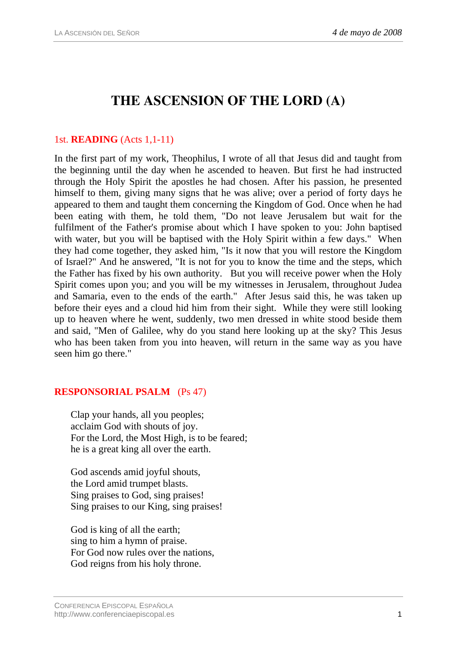# **THE ASCENSION OF THE LORD (A)**

### 1st. **READING** (Acts 1,1-11)

In the first part of my work, Theophilus, I wrote of all that Jesus did and taught from the beginning until the day when he ascended to heaven. But first he had instructed through the Holy Spirit the apostles he had chosen. After his passion, he presented himself to them, giving many signs that he was alive; over a period of forty days he appeared to them and taught them concerning the Kingdom of God. Once when he had been eating with them, he told them, "Do not leave Jerusalem but wait for the fulfilment of the Father's promise about which I have spoken to you: John baptised with water, but you will be baptised with the Holy Spirit within a few days." When they had come together, they asked him, "Is it now that you will restore the Kingdom of Israel?" And he answered, "It is not for you to know the time and the steps, which the Father has fixed by his own authority. But you will receive power when the Holy Spirit comes upon you; and you will be my witnesses in Jerusalem, throughout Judea and Samaria, even to the ends of the earth." After Jesus said this, he was taken up before their eyes and a cloud hid him from their sight. While they were still looking up to heaven where he went, suddenly, two men dressed in white stood beside them and said, "Men of Galilee, why do you stand here looking up at the sky? This Jesus who has been taken from you into heaven, will return in the same way as you have seen him go there."

## **RESPONSORIAL PSALM** (Ps 47)

Clap your hands, all you peoples; acclaim God with shouts of joy. For the Lord, the Most High, is to be feared; he is a great king all over the earth.

God ascends amid joyful shouts, the Lord amid trumpet blasts. Sing praises to God, sing praises! Sing praises to our King, sing praises!

God is king of all the earth; sing to him a hymn of praise. For God now rules over the nations, God reigns from his holy throne.